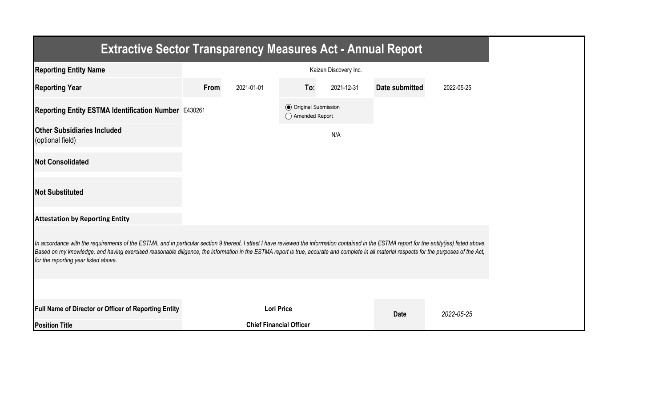| <b>Extractive Sector Transparency Measures Act - Annual Report</b>                                                                                                                                                                                                                                                                                                                                                                    |      |                                |                                                  |                       |                |            |  |  |  |
|---------------------------------------------------------------------------------------------------------------------------------------------------------------------------------------------------------------------------------------------------------------------------------------------------------------------------------------------------------------------------------------------------------------------------------------|------|--------------------------------|--------------------------------------------------|-----------------------|----------------|------------|--|--|--|
| <b>Reporting Entity Name</b>                                                                                                                                                                                                                                                                                                                                                                                                          |      |                                |                                                  | Kaizen Discovery Inc. |                |            |  |  |  |
| <b>Reporting Year</b>                                                                                                                                                                                                                                                                                                                                                                                                                 | From | 2021-01-01                     | To:                                              | 2021-12-31            | Date submitted | 2022-05-25 |  |  |  |
| Reporting Entity ESTMA Identification Number E430261                                                                                                                                                                                                                                                                                                                                                                                  |      |                                | <b>◎</b> Original Submission<br>◯ Amended Report |                       |                |            |  |  |  |
| <b>Other Subsidiaries Included</b><br>(optional field)                                                                                                                                                                                                                                                                                                                                                                                |      |                                |                                                  | N/A                   |                |            |  |  |  |
| <b>Not Consolidated</b>                                                                                                                                                                                                                                                                                                                                                                                                               |      |                                |                                                  |                       |                |            |  |  |  |
| <b>Not Substituted</b>                                                                                                                                                                                                                                                                                                                                                                                                                |      |                                |                                                  |                       |                |            |  |  |  |
| <b>Attestation by Reporting Entity</b>                                                                                                                                                                                                                                                                                                                                                                                                |      |                                |                                                  |                       |                |            |  |  |  |
| In accordance with the requirements of the ESTMA, and in particular section 9 thereof, I attest I have reviewed the information contained in the ESTMA report for the entity(ies) listed above.<br>Based on my knowledge, and having exercised reasonable diligence, the information in the ESTMA report is true, accurate and complete in all material respects for the purposes of the Act,<br>for the reporting year listed above. |      |                                |                                                  |                       |                |            |  |  |  |
|                                                                                                                                                                                                                                                                                                                                                                                                                                       |      |                                |                                                  |                       |                |            |  |  |  |
| Full Name of Director or Officer of Reporting Entity                                                                                                                                                                                                                                                                                                                                                                                  |      | <b>Lori Price</b>              |                                                  |                       | <b>Date</b>    | 2022-05-25 |  |  |  |
| <b>Position Title</b>                                                                                                                                                                                                                                                                                                                                                                                                                 |      | <b>Chief Financial Officer</b> |                                                  |                       |                |            |  |  |  |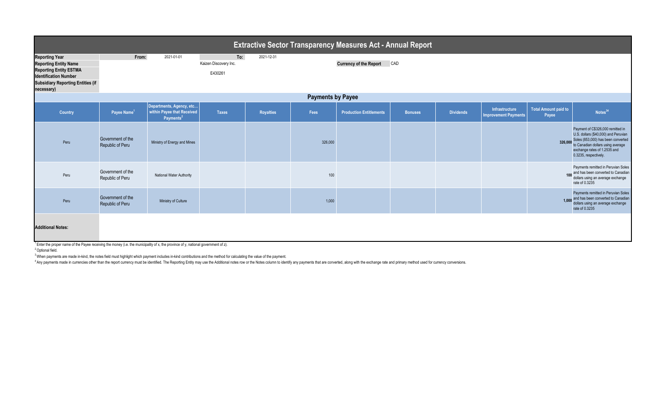| <b>Extractive Sector Transparency Measures Act - Annual Report</b>                                                                                                               |                                       |                                                                                 |                                         |                  |         |                                |                |                  |                                               |                                      |                                                                                                                                                                                                               |  |
|----------------------------------------------------------------------------------------------------------------------------------------------------------------------------------|---------------------------------------|---------------------------------------------------------------------------------|-----------------------------------------|------------------|---------|--------------------------------|----------------|------------------|-----------------------------------------------|--------------------------------------|---------------------------------------------------------------------------------------------------------------------------------------------------------------------------------------------------------------|--|
| <b>Reporting Year</b><br><b>Reporting Entity Name</b><br><b>Reporting Entity ESTMA</b><br><b>Identification Number</b><br><b>Subsidiary Reporting Entities (if</b><br>necessary) | From:                                 | 2021-01-01                                                                      | To:<br>Kaizen Discovery Inc.<br>E430261 | 2021-12-31       |         | <b>Currency of the Report</b>  | CAD            |                  |                                               |                                      |                                                                                                                                                                                                               |  |
| <b>Payments by Payee</b>                                                                                                                                                         |                                       |                                                                                 |                                         |                  |         |                                |                |                  |                                               |                                      |                                                                                                                                                                                                               |  |
| Country                                                                                                                                                                          | Payee Name <sup>1</sup>               | Departments, Agency, etc<br>within Payee that Received<br>Payments <sup>2</sup> | <b>Taxes</b>                            | <b>Royalties</b> | Fees    | <b>Production Entitlements</b> | <b>Bonuses</b> | <b>Dividends</b> | Infrastructure<br><b>Improvement Payments</b> | <b>Total Amount paid to</b><br>Payee | Notes <sup>34</sup>                                                                                                                                                                                           |  |
| Peru                                                                                                                                                                             | Government of the<br>Republic of Peru | Ministry of Energy and Mines                                                    |                                         |                  | 326,000 |                                |                |                  |                                               | 326,000                              | Payment of C\$326,000 remitted in<br>U.S. dollars (\$40,000) and Peruvian<br>Soles (853,000) has been converted<br>to Canadian dollars using average<br>exchange rates of 1.2535 and<br>0.3235, respectively. |  |
| Peru                                                                                                                                                                             | Government of the<br>Republic of Peru | National Water Authority                                                        |                                         |                  | 100     |                                |                |                  |                                               |                                      | Payments remitted in Peruvian Soles<br>100 and has been converted to Canadian<br>dollars using an average exchange<br>rate of 0.3235                                                                          |  |
| Peru                                                                                                                                                                             | Government of the<br>Republic of Peru | Ministry of Culture                                                             |                                         |                  | 1,000   |                                |                |                  |                                               |                                      | Payments remitted in Peruvian Soles<br>1,000 and has been converted to Canadian<br>dollars using an average exchange<br>rate of 0.3235                                                                        |  |
| <b>Additional Notes:</b><br><sup>1</sup> Enter the proper name of the Payee receiving the money (i.e. the municipality of x, the province of y, national government of z).       |                                       |                                                                                 |                                         |                  |         |                                |                |                  |                                               |                                      |                                                                                                                                                                                                               |  |

<sup>2</sup> Optional field.

<sup>3</sup>When payments are made in-kind, the notes field must highlight which payment includes in-kind contributions and the method for calculating the value of the payment.

Any payments made in currencies other than the report currency must be identified. The Reporting Entity may use the Additional notes row or the Notes column to identify any payments that are converted, along with the excha